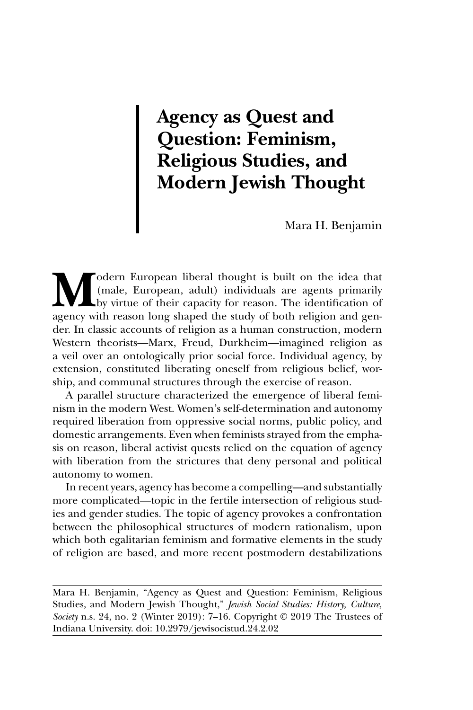## **Agency as Quest and Question: Feminism, Religious Studies, and Modern Jewish Thought**

Mara H. Benjamin

**M**odern European liberal thought is built on the idea that<br>
(male, European, adult) individuals are agents primarily<br>
by virtue of their capacity for reason. The identification of<br>
agency with reason long shaped the study (male, European, adult) individuals are agents primarily by virtue of their capacity for reason. The identification of agency with reason long shaped the study of both religion and gender. In classic accounts of religion as a human construction, modern Western theorists—Marx, Freud, Durkheim—imagined religion as a veil over an ontologically prior social force. Individual agency, by extension, constituted liberating oneself from religious belief, worship, and communal structures through the exercise of reason.

A parallel structure characterized the emergence of liberal feminism in the modern West. Women's self-determination and autonomy required liberation from oppressive social norms, public policy, and domestic arrangements. Even when feminists strayed from the emphasis on reason, liberal activist quests relied on the equation of agency with liberation from the strictures that deny personal and political autonomy to women.

In recent years, agency has become a compelling—and substantially more complicated—topic in the fertile intersection of religious studies and gender studies. The topic of agency provokes a confrontation between the philosophical structures of modern rationalism, upon which both egalitarian feminism and formative elements in the study of religion are based, and more recent postmodern destabilizations

Mara H. Benjamin, "Agency as Quest and Question: Feminism, Religious Studies, and Modern Jewish Thought," *Jewish Social Studies: History, Culture, Society* n.s. 24, no. 2 (Winter 2019): 7–16. Copyright © 2019 The Trustees of Indiana University. doi: 10.2979/jewisocistud.24.2.02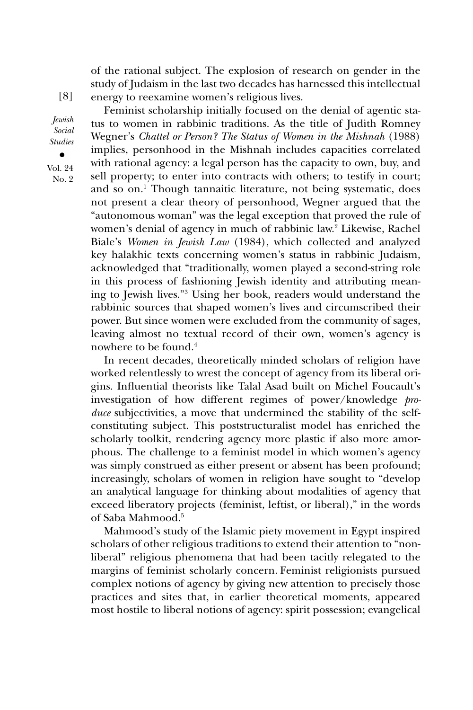of the rational subject. The explosion of research on gender in the study of Judaism in the last two decades has harnessed this intellectual energy to reexamine women's religious lives.

Feminist scholarship initially focused on the denial of agentic status to women in rabbinic traditions. As the title of Judith Romney Wegner's *Chattel or Person? The Status of Women in the Mishnah* (1988) implies, personhood in the Mishnah includes capacities correlated with rational agency: a legal person has the capacity to own, buy, and sell property; to enter into contracts with others; to testify in court; and so on.<sup>1</sup> Though tannaitic literature, not being systematic, does not present a clear theory of personhood, Wegner argued that the "autonomous woman" was the legal exception that proved the rule of women's denial of agency in much of rabbinic law.<sup>2</sup> Likewise, Rachel Biale's *Women in Jewish Law* (1984), which collected and analyzed key halakhic texts concerning women's status in rabbinic Judaism, acknowledged that "traditionally, women played a second-string role in this process of fashioning Jewish identity and attributing meaning to Jewish lives."3 Using her book, readers would understand the rabbinic sources that shaped women's lives and circumscribed their power. But since women were excluded from the community of sages, leaving almost no textual record of their own, women's agency is nowhere to be found.4

In recent decades, theoretically minded scholars of religion have worked relentlessly to wrest the concept of agency from its liberal origins. Influential theorists like Talal Asad built on Michel Foucault's investigation of how different regimes of power/knowledge *produce* subjectivities, a move that undermined the stability of the selfconstituting subject. This poststructuralist model has enriched the scholarly toolkit, rendering agency more plastic if also more amorphous. The challenge to a feminist model in which women's agency was simply construed as either present or absent has been profound; increasingly, scholars of women in religion have sought to "develop an analytical language for thinking about modalities of agency that exceed liberatory projects (feminist, leftist, or liberal)," in the words of Saba Mahmood.5

Mahmood's study of the Islamic piety movement in Egypt inspired scholars of other religious traditions to extend their attention to "nonliberal" religious phenomena that had been tacitly relegated to the margins of feminist scholarly concern. Feminist religionists pursued complex notions of agency by giving new attention to precisely those practices and sites that, in earlier theoretical moments, appeared most hostile to liberal notions of agency: spirit possession; evangelical

[8]

*Jewish Social Studies •* Vol. 24

No. 2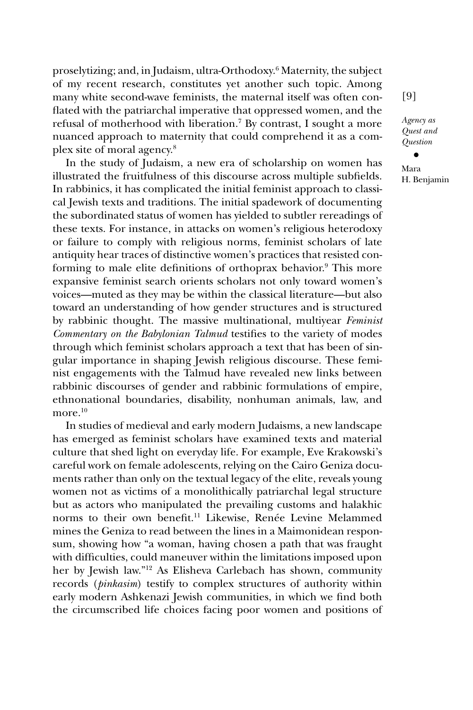proselytizing; and, in Judaism, ultra-Orthodoxy.6 Maternity, the subject of my recent research, constitutes yet another such topic. Among many white second-wave feminists, the maternal itself was often conflated with the patriarchal imperative that oppressed women, and the refusal of motherhood with liberation.7 By contrast, I sought a more nuanced approach to maternity that could comprehend it as a complex site of moral agency.8

In the study of Judaism, a new era of scholarship on women has illustrated the fruitfulness of this discourse across multiple subfields. In rabbinics, it has complicated the initial feminist approach to classical Jewish texts and traditions. The initial spadework of documenting the subordinated status of women has yielded to subtler rereadings of these texts. For instance, in attacks on women's religious heterodoxy or failure to comply with religious norms, feminist scholars of late antiquity hear traces of distinctive women's practices that resisted conforming to male elite definitions of orthoprax behavior.<sup>9</sup> This more expansive feminist search orients scholars not only toward women's voices—muted as they may be within the classical literature—but also toward an understanding of how gender structures and is structured by rabbinic thought. The massive multinational, multiyear *Feminist Commentary on the Babylonian Talmud* testifies to the variety of modes through which feminist scholars approach a text that has been of singular importance in shaping Jewish religious discourse. These feminist engagements with the Talmud have revealed new links between rabbinic discourses of gender and rabbinic formulations of empire, ethnonational boundaries, disability, nonhuman animals, law, and more  $10$ 

In studies of medieval and early modern Judaisms, a new landscape has emerged as feminist scholars have examined texts and material culture that shed light on everyday life. For example, Eve Krakowski's careful work on female adolescents, relying on the Cairo Geniza documents rather than only on the textual legacy of the elite, reveals young women not as victims of a monolithically patriarchal legal structure but as actors who manipulated the prevailing customs and halakhic norms to their own benefit.<sup>11</sup> Likewise, Renée Levine Melammed mines the Geniza to read between the lines in a Maimonidean responsum, showing how "a woman, having chosen a path that was fraught with difficulties, could maneuver within the limitations imposed upon her by Jewish law."12 As Elisheva Carlebach has shown, community records (*pinkasim*) testify to complex structures of authority within early modern Ashkenazi Jewish communities, in which we find both the circumscribed life choices facing poor women and positions of [9]

*Agency as Quest and Question*

*•* Mara H. Benjamin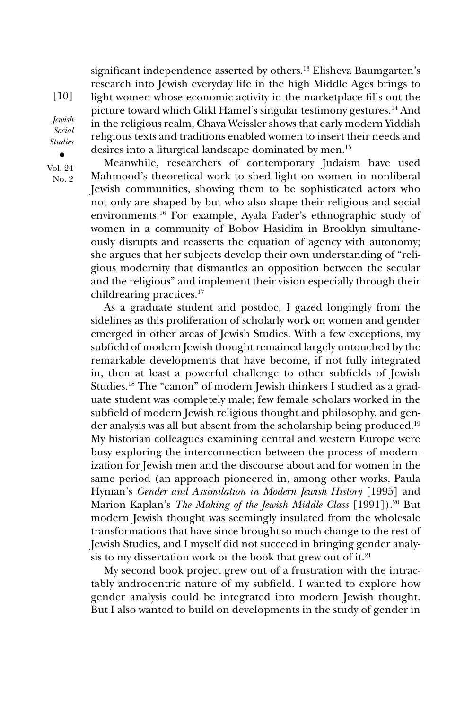significant independence asserted by others.<sup>13</sup> Elisheva Baumgarten's research into Jewish everyday life in the high Middle Ages brings to light women whose economic activity in the marketplace fills out the picture toward which Glikl Hamel's singular testimony gestures.14 And in the religious realm, Chava Weissler shows that early modern Yiddish religious texts and traditions enabled women to insert their needs and desires into a liturgical landscape dominated by men.15

Meanwhile, researchers of contemporary Judaism have used Mahmood's theoretical work to shed light on women in nonliberal Jewish communities, showing them to be sophisticated actors who not only are shaped by but who also shape their religious and social environments.16 For example, Ayala Fader's ethnographic study of women in a community of Bobov Hasidim in Brooklyn simultaneously disrupts and reasserts the equation of agency with autonomy; she argues that her subjects develop their own understanding of "religious modernity that dismantles an opposition between the secular and the religious" and implement their vision especially through their childrearing practices.17

As a graduate student and postdoc, I gazed longingly from the sidelines as this proliferation of scholarly work on women and gender emerged in other areas of Jewish Studies. With a few exceptions, my subfield of modern Jewish thought remained largely untouched by the remarkable developments that have become, if not fully integrated in, then at least a powerful challenge to other subfields of Jewish Studies.<sup>18</sup> The "canon" of modern Jewish thinkers I studied as a graduate student was completely male; few female scholars worked in the subfield of modern Jewish religious thought and philosophy, and gender analysis was all but absent from the scholarship being produced.19 My historian colleagues examining central and western Europe were busy exploring the interconnection between the process of modernization for Jewish men and the discourse about and for women in the same period (an approach pioneered in, among other works, Paula Hyman's *Gender and Assimilation in Modern Jewish History* [1995] and Marion Kaplan's *The Making of the Jewish Middle Class* [1991]).20 But modern Jewish thought was seemingly insulated from the wholesale transformations that have since brought so much change to the rest of Jewish Studies, and I myself did not succeed in bringing gender analysis to my dissertation work or the book that grew out of it. $21$ 

My second book project grew out of a frustration with the intractably androcentric nature of my subfield. I wanted to explore how gender analysis could be integrated into modern Jewish thought. But I also wanted to build on developments in the study of gender in

[10] *Jewish Social Studies*

*•* Vol. 24 No. 2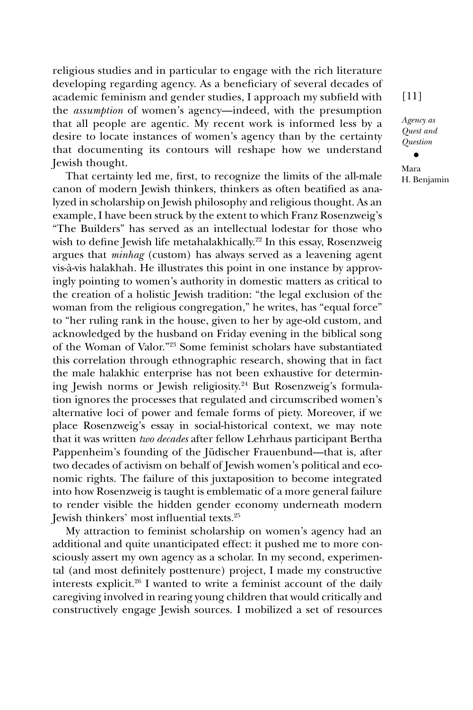religious studies and in particular to engage with the rich literature developing regarding agency. As a beneficiary of several decades of academic feminism and gender studies, I approach my subfield with the *assumption* of women's agency—indeed, with the presumption that all people are agentic. My recent work is informed less by a desire to locate instances of women's agency than by the certainty that documenting its contours will reshape how we understand Jewish thought.

That certainty led me, first, to recognize the limits of the all-male canon of modern Jewish thinkers, thinkers as often beatified as analyzed in scholarship on Jewish philosophy and religious thought. As an example, I have been struck by the extent to which Franz Rosenzweig's "The Builders" has served as an intellectual lodestar for those who wish to define Jewish life metahalakhically.<sup>22</sup> In this essay, Rosenzweig argues that *minhag* (custom) has always served as a leavening agent vis-à-vis halakhah. He illustrates this point in one instance by approvingly pointing to women's authority in domestic matters as critical to the creation of a holistic Jewish tradition: "the legal exclusion of the woman from the religious congregation," he writes, has "equal force" to "her ruling rank in the house, given to her by age-old custom, and acknowledged by the husband on Friday evening in the biblical song of the Woman of Valor."23 Some feminist scholars have substantiated this correlation through ethnographic research, showing that in fact the male halakhic enterprise has not been exhaustive for determining Jewish norms or Jewish religiosity.24 But Rosenzweig's formulation ignores the processes that regulated and circumscribed women's alternative loci of power and female forms of piety. Moreover, if we place Rosenzweig's essay in social-historical context, we may note that it was written *two decades* after fellow Lehrhaus participant Bertha Pappenheim's founding of the Jüdischer Frauenbund—that is, after two decades of activism on behalf of Jewish women's political and economic rights. The failure of this juxtaposition to become integrated into how Rosenzweig is taught is emblematic of a more general failure to render visible the hidden gender economy underneath modern Jewish thinkers' most influential texts.25

My attraction to feminist scholarship on women's agency had an additional and quite unanticipated effect: it pushed me to more consciously assert my own agency as a scholar. In my second, experimental (and most definitely posttenure) project, I made my constructive interests explicit.26 I wanted to write a feminist account of the daily caregiving involved in rearing young children that would critically and constructively engage Jewish sources. I mobilized a set of resources

[11]

*Agency as Quest and Question*

*•* Mara H. Benjamin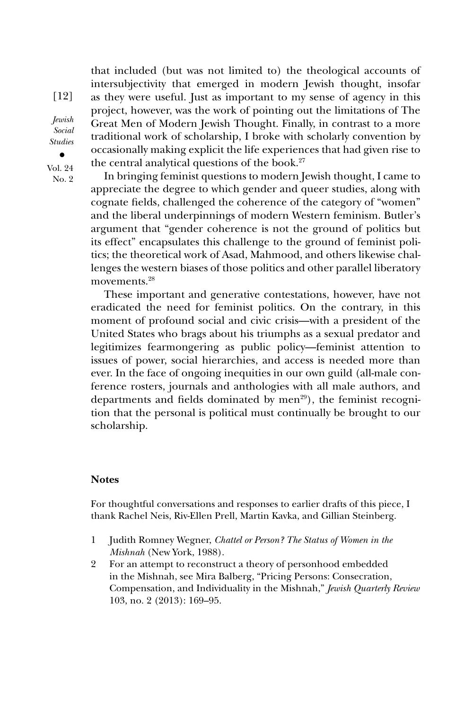that included (but was not limited to) the theological accounts of intersubjectivity that emerged in modern Jewish thought, insofar as they were useful. Just as important to my sense of agency in this project, however, was the work of pointing out the limitations of The Great Men of Modern Jewish Thought. Finally, in contrast to a more traditional work of scholarship, I broke with scholarly convention by occasionally making explicit the life experiences that had given rise to the central analytical questions of the book.27

In bringing feminist questions to modern Jewish thought, I came to appreciate the degree to which gender and queer studies, along with cognate fields, challenged the coherence of the category of "women" and the liberal underpinnings of modern Western feminism. Butler's argument that "gender coherence is not the ground of politics but its effect" encapsulates this challenge to the ground of feminist politics; the theoretical work of Asad, Mahmood, and others likewise challenges the western biases of those politics and other parallel liberatory movements.<sup>28</sup>

These important and generative contestations, however, have not eradicated the need for feminist politics. On the contrary, in this moment of profound social and civic crisis—with a president of the United States who brags about his triumphs as a sexual predator and legitimizes fearmongering as public policy—feminist attention to issues of power, social hierarchies, and access is needed more than ever. In the face of ongoing inequities in our own guild (all-male conference rosters, journals and anthologies with all male authors, and departments and fields dominated by men<sup>29</sup>), the feminist recognition that the personal is political must continually be brought to our scholarship.

## **Notes**

For thoughtful conversations and responses to earlier drafts of this piece, I thank Rachel Neis, Riv-Ellen Prell, Martin Kavka, and Gillian Steinberg.

- 1 Judith Romney Wegner, *Chattel or Person? The Status of Women in the Mishnah* (New York, 1988).
- 2 For an attempt to reconstruct a theory of personhood embedded in the Mishnah, see Mira Balberg, "Pricing Persons: Consecration, Compensation, and Individuality in the Mishnah," *Jewish Quarterly Review* 103, no. 2 (2013): 169–95.

[12] *Jewish Social* 

*Studies*

*•* Vol. 24 No. 2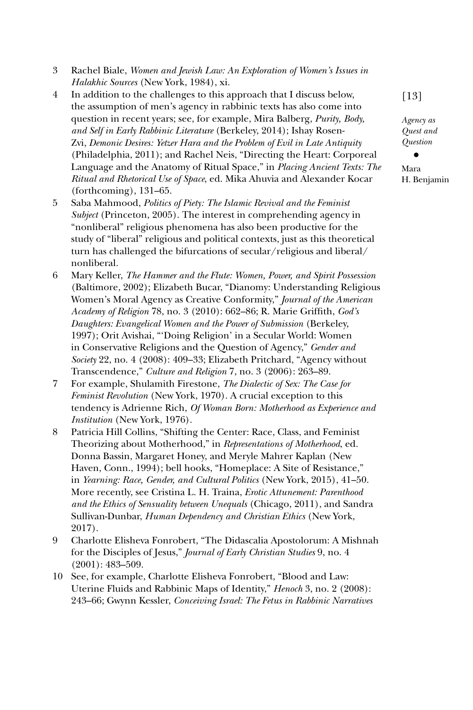- 3 Rachel Biale, *Women and Jewish Law: An Exploration of Women's Issues in Halakhic Sources* (New York, 1984), xi.
- 4 In addition to the challenges to this approach that I discuss below, the assumption of men's agency in rabbinic texts has also come into question in recent years; see, for example, Mira Balberg, *Purity, Body, and Self in Early Rabbinic Literature* (Berkeley, 2014); Ishay Rosen-Zvi, *Demonic Desires: Yetzer Hara and the Problem of Evil in Late Antiquity* (Philadelphia, 2011); and Rachel Neis, "Directing the Heart: Corporeal Language and the Anatomy of Ritual Space," in *Placing Ancient Texts: The Ritual and Rhetorical Use of Space*, ed. Mika Ahuvia and Alexander Kocar (forthcoming), 131–65.
- 5 Saba Mahmood, *Politics of Piety: The Islamic Revival and the Feminist Subject* (Princeton, 2005). The interest in comprehending agency in "nonliberal" religious phenomena has also been productive for the study of "liberal" religious and political contexts, just as this theoretical turn has challenged the bifurcations of secular/religious and liberal/ nonliberal.
- 6 Mary Keller, *The Hammer and the Flute: Women, Power, and Spirit Possession* (Baltimore, 2002); Elizabeth Bucar, "Dianomy: Understanding Religious Women's Moral Agency as Creative Conformity," *Journal of the American Academy of Religion* 78, no. 3 (2010): 662–86; R. Marie Griffith, *God's Daughters: Evangelical Women and the Power of Submission* (Berkeley, 1997); Orit Avishai, "'Doing Religion' in a Secular World: Women in Conservative Religions and the Question of Agency," *Gender and Society* 22, no. 4 (2008): 409–33; Elizabeth Pritchard, "Agency without Transcendence," *Culture and Religion* 7, no. 3 (2006): 263–89.
- 7 For example, Shulamith Firestone, *The Dialectic of Sex: The Case for Feminist Revolution* (New York, 1970). A crucial exception to this tendency is Adrienne Rich, *Of Woman Born: Motherhood as Experience and Institution* (New York, 1976).
- 8 Patricia Hill Collins, "Shifting the Center: Race, Class, and Feminist Theorizing about Motherhood," in *Representations of Motherhood*, ed. Donna Bassin, Margaret Honey, and Meryle Mahrer Kaplan (New Haven, Conn., 1994); bell hooks, "Homeplace: A Site of Resistance," in *Yearning: Race, Gender, and Cultural Politics* (New York, 2015), 41–50. More recently, see Cristina L. H. Traina, *Erotic Attunement: Parenthood and the Ethics of Sensuality between Unequals* (Chicago, 2011), and Sandra Sullivan-Dunbar, *Human Dependency and Christian Ethics* (New York, 2017).
- 9 Charlotte Elisheva Fonrobert, "The Didascalia Apostolorum: A Mishnah for the Disciples of Jesus," *Journal of Early Christian Studies* 9, no. 4 (2001): 483–509.
- 10 See, for example, Charlotte Elisheva Fonrobert, "Blood and Law: Uterine Fluids and Rabbinic Maps of Identity," *Henoch* 3, no. 2 (2008): 243–66; Gwynn Kessler, *Conceiving Israel: The Fetus in Rabbinic Narratives*

[13]

*Agency as Quest and Question*

*•* Mara H. Benjamin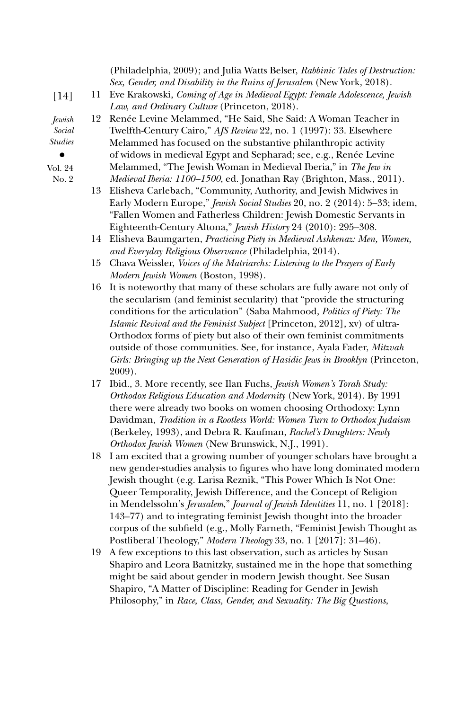|                |    | (Philadelphia, 2009); and Julia Watts Belser, Rabbinic Tales of Destruction:<br>Sex, Gender, and Disability in the Ruins of Jerusalem (New York, 2018). |
|----------------|----|---------------------------------------------------------------------------------------------------------------------------------------------------------|
|                |    |                                                                                                                                                         |
| $[14]$         | 11 | Eve Krakowski, Coming of Age in Medieval Egypt: Female Adolescence, Jewish<br>Law, and Ordinary Culture (Princeton, 2018).                              |
| Jewish         | 12 | Renée Levine Melammed, "He Said, She Said: A Woman Teacher in                                                                                           |
| Social         |    | Twelfth-Century Cairo," AJS Review 22, no. 1 (1997): 33. Elsewhere                                                                                      |
| <b>Studies</b> |    | Melammed has focused on the substantive philanthropic activity                                                                                          |
| $\bullet$      |    | of widows in medieval Egypt and Sepharad; see, e.g., Renée Levine                                                                                       |
| Vol. 24        |    | Melammed, "The Jewish Woman in Medieval Iberia," in The Jew in                                                                                          |
| No. 2          |    | Medieval Iberia: 1100-1500, ed. Jonathan Ray (Brighton, Mass., 2011).                                                                                   |
|                |    | 13 Elisheva Carlebach, "Community, Authority, and Jewish Midwives in                                                                                    |
|                |    | Early Modern Europe," Jewish Social Studies 20, no. 2 (2014): 5-33; idem,                                                                               |
|                |    | "Fallen Women and Fatherless Children: Jewish Domestic Servants in                                                                                      |
|                |    | Eighteenth-Century Altona," Jewish History 24 (2010): 295-308.                                                                                          |
|                | 14 | Elisheva Baumgarten, Practicing Piety in Medieval Ashkenaz: Men, Women,                                                                                 |
|                |    | and Everyday Religious Observance (Philadelphia, 2014).                                                                                                 |
|                | 15 | Chava Weissler, Voices of the Matriarchs: Listening to the Prayers of Early                                                                             |
|                |    | Modern Jewish Women (Boston, 1998).                                                                                                                     |
|                | 16 | It is noteworthy that many of these scholars are fully aware not only of                                                                                |
|                |    | the secularism (and feminist secularity) that "provide the structuring                                                                                  |
|                |    | conditions for the articulation" (Saba Mahmood, Politics of Piety: The                                                                                  |
|                |    | Islamic Revival and the Feminist Subject [Princeton, 2012], xv) of ultra-                                                                               |
|                |    | Orthodox forms of piety but also of their own feminist commitments                                                                                      |
|                |    | outside of those communities. See, for instance, Ayala Fader, Mitzvah                                                                                   |
|                |    | Girls: Bringing up the Next Generation of Hasidic Jews in Brooklyn (Princeton,                                                                          |
|                |    | 2009).                                                                                                                                                  |
|                | 17 | Ibid., 3. More recently, see Ilan Fuchs, Jewish Women's Torah Study:                                                                                    |
|                |    | Orthodox Religious Education and Modernity (New York, 2014). By 1991                                                                                    |
|                |    | there were already two books on women choosing Orthodoxy: Lynn                                                                                          |
|                |    | Davidman, Tradition in a Rootless World: Women Turn to Orthodox Judaism                                                                                 |
|                |    | (Berkeley, 1993), and Debra R. Kaufman, Rachel's Daughters: Newly                                                                                       |
|                |    | Orthodox Jewish Women (New Brunswick, N.J., 1991).                                                                                                      |
|                | 18 | I am excited that a growing number of younger scholars have brought a                                                                                   |
|                |    | new gender-studies analysis to figures who have long dominated modern                                                                                   |
|                |    | Jewish thought (e.g. Larisa Reznik, "This Power Which Is Not One:                                                                                       |
|                |    | Queer Temporality, Jewish Difference, and the Concept of Religion                                                                                       |
|                |    | in Mendelssohn's Jerusalem," Journal of Jewish Identities 11, no. 1 [2018]:                                                                             |
|                |    | 149 (77) and to integrating faminist Levish thought into the hugoday                                                                                    |

143–77) and to integrating feminist Jewish thought into the broader corpus of the subfield (e.g., Molly Farneth, "Feminist Jewish Thought as Postliberal Theology," *Modern Theology* 33, no. 1 [2017]: 31–46).

19 A few exceptions to this last observation, such as articles by Susan Shapiro and Leora Batnitzky, sustained me in the hope that something might be said about gender in modern Jewish thought. See Susan Shapiro, "A Matter of Discipline: Reading for Gender in Jewish Philosophy," in *Race, Class, Gender, and Sexuality: The Big Questions*,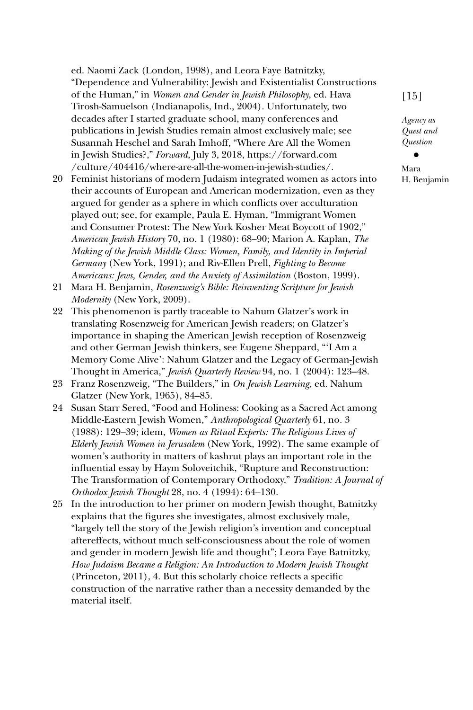ed. Naomi Zack (London, 1998), and Leora Faye Batnitzky, "Dependence and Vulnerability: Jewish and Existentialist Constructions of the Human," in *Women and Gender in Jewish Philosophy*, ed. Hava Tirosh-Samuelson (Indianapolis, Ind., 2004). Unfortunately, two decades after I started graduate school, many conferences and publications in Jewish Studies remain almost exclusively male; see Susannah Heschel and Sarah Imhoff, "Where Are All the Women in Jewish Studies?," *Forward*, July 3, 2018, [https://forward.com](https://forward.com/culture/404416/where-are-all-the-women-in-jewish-studies/)  [/culture/404416/where-are-all-the-women-in-jewish-studies/](https://forward.com/culture/404416/where-are-all-the-women-in-jewish-studies/).

- 20 Feminist historians of modern Judaism integrated women as actors into their accounts of European and American modernization, even as they argued for gender as a sphere in which conflicts over acculturation played out; see, for example, Paula E. Hyman, "Immigrant Women and Consumer Protest: The New York Kosher Meat Boycott of 1902," *American Jewish History* 70, no. 1 (1980): 68–90; Marion A. Kaplan, *The Making of the Jewish Middle Class: Women, Family, and Identity in Imperial Germany* (New York, 1991); and Riv-Ellen Prell, *Fighting to Become Americans: Jews, Gender, and the Anxiety of Assimilation* (Boston, 1999).
- 21 Mara H. Benjamin, *Rosenzweig's Bible: Reinventing Scripture for Jewish Modernity* (New York, 2009).
- 22 This phenomenon is partly traceable to Nahum Glatzer's work in translating Rosenzweig for American Jewish readers; on Glatzer's importance in shaping the American Jewish reception of Rosenzweig and other German Jewish thinkers, see Eugene Sheppard, "'I Am a Memory Come Alive': Nahum Glatzer and the Legacy of German-Jewish Thought in America," *Jewish Quarterly Review* 94, no. 1 (2004): 123–48.
- 23 Franz Rosenzweig, "The Builders," in *On Jewish Learning*, ed. Nahum Glatzer (New York, 1965), 84–85.
- 24 Susan Starr Sered, "Food and Holiness: Cooking as a Sacred Act among Middle-Eastern Jewish Women," *Anthropological Quarterly* 61, no. 3 (1988): 129–39; idem, *Women as Ritual Experts: The Religious Lives of Elderly Jewish Women in Jerusalem* (New York, 1992). The same example of women's authority in matters of kashrut plays an important role in the influential essay by Haym Soloveitchik, "Rupture and Reconstruction: The Transformation of Contemporary Orthodoxy," *Tradition: A Journal of Orthodox Jewish Thought* 28, no. 4 (1994): 64–130.
- 25 In the introduction to her primer on modern Jewish thought, Batnitzky explains that the figures she investigates, almost exclusively male, "largely tell the story of the Jewish religion's invention and conceptual aftereffects, without much self-consciousness about the role of women and gender in modern Jewish life and thought"; Leora Faye Batnitzky, *How Judaism Became a Religion: An Introduction to Modern Jewish Thought* (Princeton, 2011), 4. But this scholarly choice reflects a specific construction of the narrative rather than a necessity demanded by the material itself.

[15]

*Agency as Quest and Question*

*•*

Mara H. Benjamin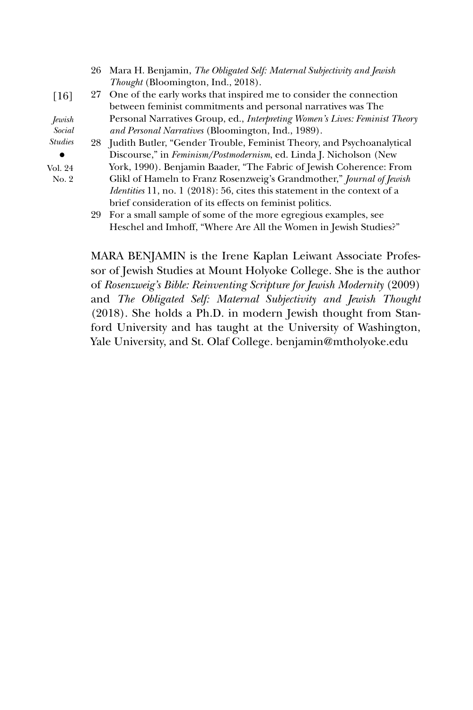|                    |    | 26 Mara H. Benjamin, The Obligated Self: Maternal Subjectivity and Jewish   |
|--------------------|----|-----------------------------------------------------------------------------|
|                    |    | <i>Thought</i> (Bloomington, Ind., 2018).                                   |
| $\lceil 16 \rceil$ | 27 | One of the early works that inspired me to consider the connection          |
|                    |    | between feminist commitments and personal narratives was The                |
| <i>Jewish</i>      |    | Personal Narratives Group, ed., Interpreting Women's Lives: Feminist Theory |
| Social             |    | <i>and Personal Narratives</i> (Bloomington, Ind., 1989).                   |
| <b>Studies</b>     |    | 28 Judith Butler, "Gender Trouble, Feminist Theory, and Psychoanalytical    |
|                    |    | Discourse," in <i>Feminism/Postmodernism</i> , ed. Linda J. Nicholson (New  |
| Vol. 24            |    | York, 1990). Benjamin Baader, "The Fabric of Jewish Coherence: From         |
| No. 2              |    | Glikl of Hameln to Franz Rosenzweig's Grandmother," Journal of Jewish       |
|                    |    | Identities 11, no. 1 (2018): 56, cites this statement in the context of a   |
|                    |    | brief consideration of its effects on feminist politics.                    |
|                    | 29 | For a small sample of some of the more egregious examples, see              |
|                    |    | Heschel and Imhoff, "Where Are All the Women in Jewish Studies?"            |

MARA BENJAMIN is the Irene Kaplan Leiwant Associate Professor of Jewish Studies at Mount Holyoke College. She is the author of *Rosenzweig's Bible: Reinventing Scripture for Jewish Modernity* (2009) and *The Obligated Self: Maternal Subjectivity and Jewish Thought* (2018). She holds a Ph.D. in modern Jewish thought from Stanford University and has taught at the University of Washington, Yale University, and St. Olaf College. [benjamin@mtholyoke.edu](mailto:benjamin@mtholyoke.edu)